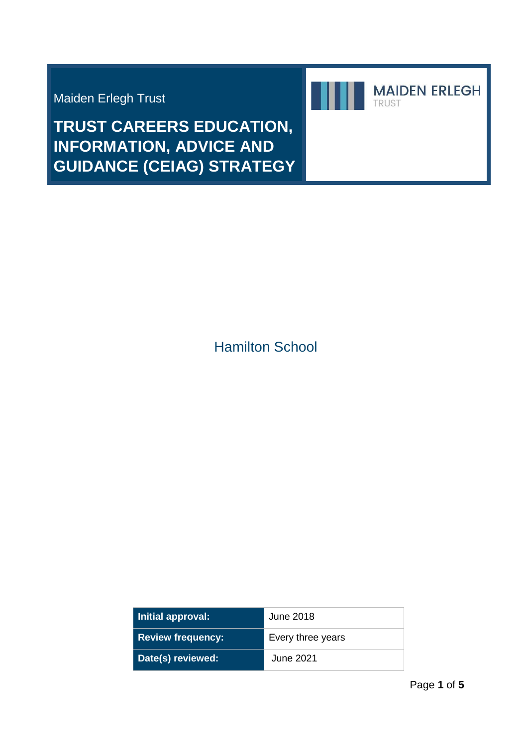Maiden Erlegh Trust



**TRUST CAREERS EDUCATION, INFORMATION, ADVICE AND GUIDANCE (CEIAG) STRATEGY** 

Hamilton School

| Initial approval:        | June 2018         |
|--------------------------|-------------------|
| <b>Review frequency:</b> | Every three years |
| Date(s) reviewed:        | June 2021         |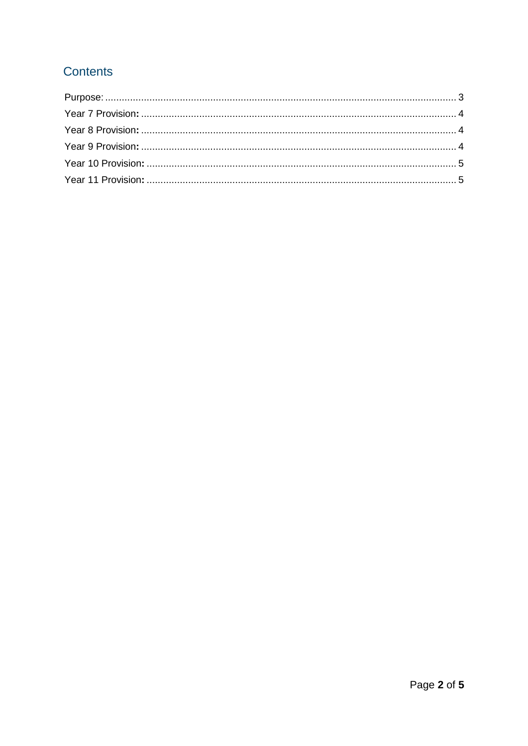# **Contents**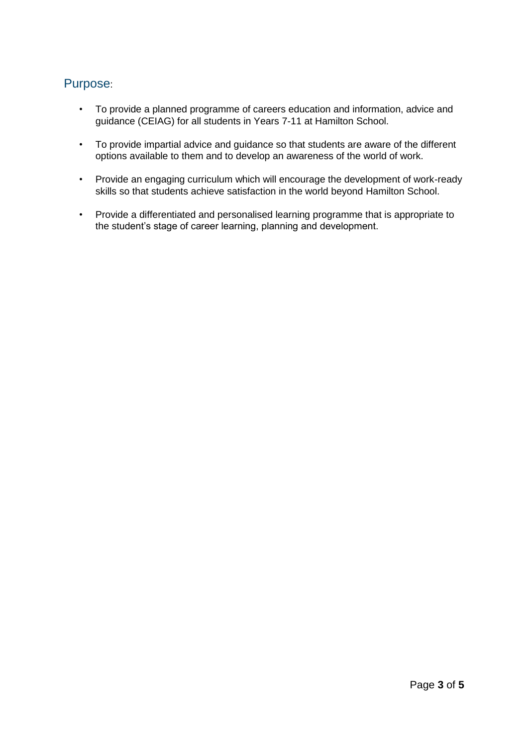# <span id="page-2-0"></span>Purpose:

- To provide a planned programme of careers education and information, advice and guidance (CEIAG) for all students in Years 7-11 at Hamilton School.
- To provide impartial advice and guidance so that students are aware of the different options available to them and to develop an awareness of the world of work.
- Provide an engaging curriculum which will encourage the development of work-ready skills so that students achieve satisfaction in the world beyond Hamilton School.
- Provide a differentiated and personalised learning programme that is appropriate to the student's stage of career learning, planning and development.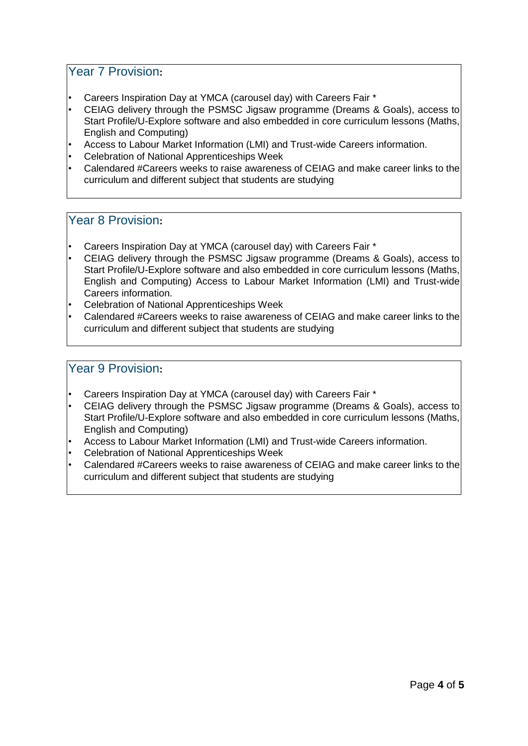## <span id="page-3-0"></span>Year 7 Provision**:**

- Careers Inspiration Day at YMCA (carousel day) with Careers Fair \*
- CEIAG delivery through the PSMSC Jigsaw programme (Dreams & Goals), access to Start Profile/U-Explore software and also embedded in core curriculum lessons (Maths, English and Computing)
- Access to Labour Market Information (LMI) and Trust-wide Careers information.
- Celebration of National Apprenticeships Week
- Calendared #Careers weeks to raise awareness of CEIAG and make career links to the curriculum and different subject that students are studying

#### <span id="page-3-1"></span>Year 8 Provision**:**

- Careers Inspiration Day at YMCA (carousel day) with Careers Fair \*
- CEIAG delivery through the PSMSC Jigsaw programme (Dreams & Goals), access to Start Profile/U-Explore software and also embedded in core curriculum lessons (Maths, English and Computing) Access to Labour Market Information (LMI) and Trust-wide Careers information.
- Celebration of National Apprenticeships Week
- Calendared #Careers weeks to raise awareness of CEIAG and make career links to the curriculum and different subject that students are studying

## <span id="page-3-2"></span>Year 9 Provision**:**

- Careers Inspiration Day at YMCA (carousel day) with Careers Fair \*
- CEIAG delivery through the PSMSC Jigsaw programme (Dreams & Goals), access to Start Profile/U-Explore software and also embedded in core curriculum lessons (Maths, English and Computing)
- Access to Labour Market Information (LMI) and Trust-wide Careers information.
- Celebration of National Apprenticeships Week
- Calendared #Careers weeks to raise awareness of CEIAG and make career links to the curriculum and different subject that students are studying